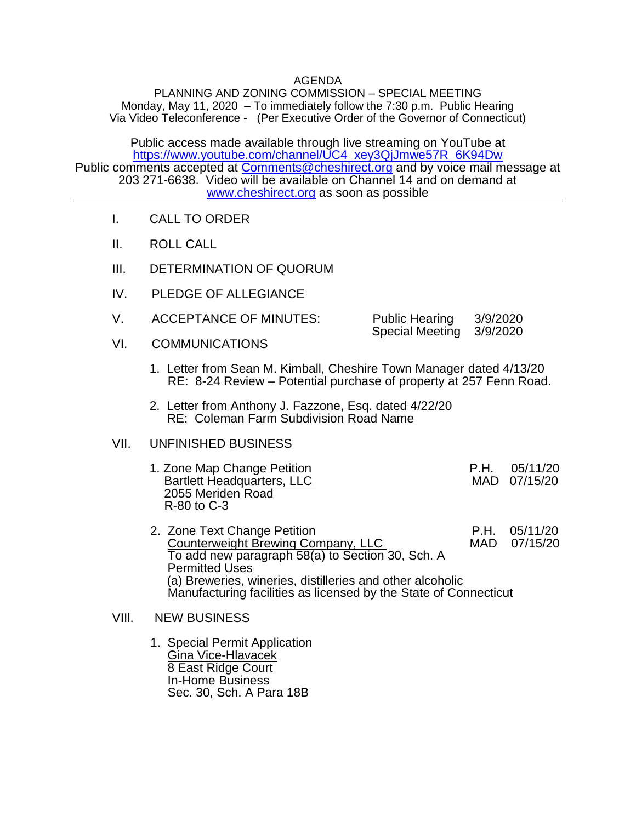## AGENDA

PLANNING AND ZONING COMMISSION – SPECIAL MEETING Monday, May 11, 2020 **–** To immediately follow the 7:30 p.m. Public Hearing Via Video Teleconference - (Per Executive Order of the Governor of Connecticut)

Public access made available through live streaming on YouTube at [https://www.youtube.com/channel/UC4\\_xey3QjJmwe57R\\_6K94Dw](https://www.youtube.com/channel/UC4_xey3QjJmwe57R_6K94Dw) Public comments accepted at [Comments@cheshirect.org](mailto:Comments@cheshirect.org) and by voice mail message at 203 271-6638. Video will be available on Channel 14 and on demand at [www.cheshirect.org](http://www.cheshirect.org/) as soon as possible

- I. CALL TO ORDER
- II. ROLL CALL
- III. DETERMINATION OF QUORUM
- IV. PLEDGE OF ALLEGIANCE
- V. ACCEPTANCE OF MINUTES: Public Hearing 3/9/2020 Special Meeting 3/9/2020
- VI. COMMUNICATIONS
	- 1. Letter from Sean M. Kimball, Cheshire Town Manager dated 4/13/20 RE: 8-24 Review – Potential purchase of property at 257 Fenn Road.
	- 2. Letter from Anthony J. Fazzone, Esq. dated 4/22/20 RE: Coleman Farm Subdivision Road Name

## VII. UNFINISHED BUSINESS

- 1. Zone Map Change Petition <br>Bartlett Headquarters. LLC MAD 07/15/20 Bartlett Headquarters, LLC 2055 Meriden Road R-80 to C-3
- 2. Zone Text Change Petition<br>Counterweight Brewing Company. LLC MAD 07/15/20 Counterweight Brewing Company, LLC To add new paragraph 58(a) to Section 30, Sch. A Permitted Uses (a) Breweries, wineries, distilleries and other alcoholic Manufacturing facilities as licensed by the State of Connecticut

## VIIl. NEW BUSINESS

 1. Special Permit Application Gina Vice-Hlavacek 8 East Ridge Court In-Home Business Sec. 30, Sch. A Para 18B